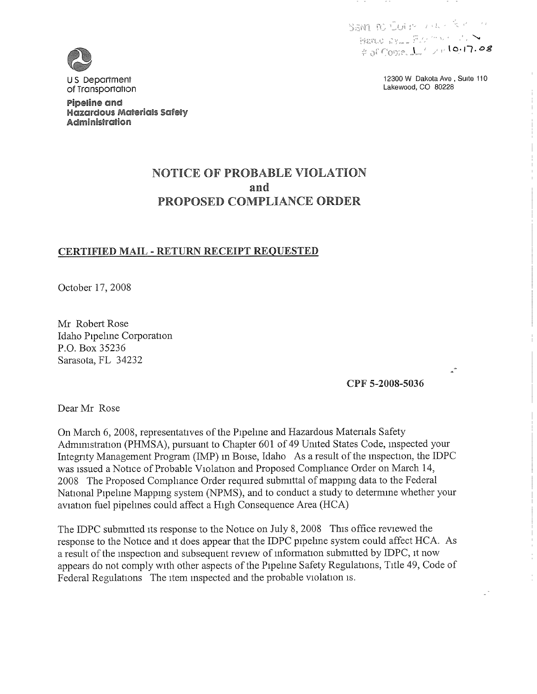SAM PO CULP THEY REALLY Harde by  $\mathbb{R}$  and  $\mathbb{R}$  and  $\mathbb{R}$  and  $\mathbb{R}$   $\rightarrow$  $4000001 / 10002$ 

> 12300 W Dakota Ave, Suite 110 Lakewood, CO 80228



<sup>U</sup>S Department of Transportation

Pipeline and Hazdrdovs Materldlls Safety Administration

# **NOTICE OF PROBABLE VIOLATION** and **PROPOSED COMPLIANCE ORDER**

### **CERTIFIED MAIL - RETURN RECEIPT REQUESTED**

October 17, 2008

Mr Robert Rose Idaho Pipehne Corporation P.O. Box 35236 Sarasota, FL 34232

CPP 5-2008-5036

Dear Mr Rose

On March 6, 2008, representatives of the Pipehne and Hazardous Materials Safety Administration (PHMSA), pursuant to Chapter 601 of 49 United States Code, inspected your Integrity Management Program (IMP) in Boise, Idaho As a result of the inspection, the IDPC was issued a Notice of Probable Violation and Proposed Comphance Order on March 14, 2008 The Proposed Compliance Order required submittal of mapping data to the Federal National Pipehne Mapping system (NPMS), and to conduct a study to determine whether your aviation fuel pipelmes could affect a High Consequence Area (HCA)

The IDPC submitted its response to the Notice on July 8, 2008 This office reviewed the response to the Notice and it does appear that the IDPC pipehne system could affect HCA. As a result of the inspection and subsequent review of information submitted by IDPC, it now appears do not comply with other aspects of the Pipehne Safety Regulations, Title 49, Code of Federal Regulations The item inspected and the probable violation is.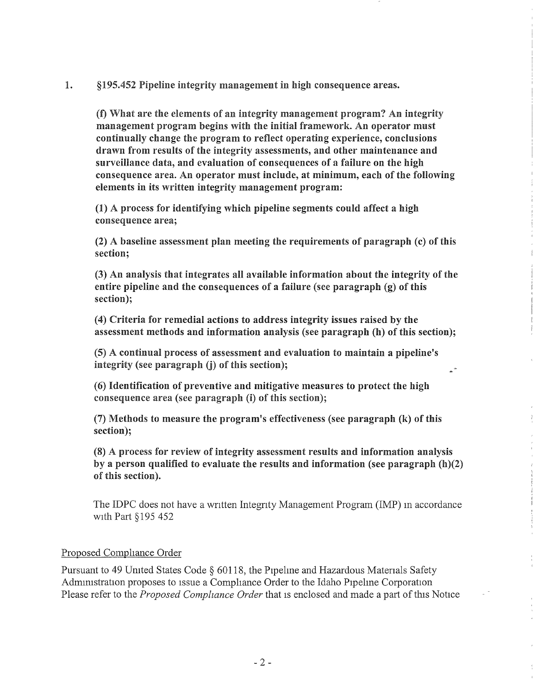1. §195.452 Pipeline integrity management in high consequence areas.

(f) What are the elements of an integrity management program? An integrity management program begins with the initial framework. An operator must continually change the program to reflect operating experience, conclusions drawn from results of the integrity assessments, and other maintenance and surveillance data, and evaluation of consequences of a failure on the high consequence area. An operator must include, at minimum, each of the following elements in its written integrity management program:

(1) A process for identifying which pipeline segments could affect a high consequence area;

(2) A baseline assessment plan meeting the requirements of paragraph (c) of this section;

(3) An analysis that integrates all available information about the integrity of the entire pipeline and the consequences of a failure (see paragraph  $(g)$  of this section);

(4) Criteria for remedial actions to address integrity issues raised by the assessment methods and information analysis (see paragraph (h) of this section);

(5) A continual process of assessment and evaluation to maintain a pipeline's integrity (see paragraph (j) of this section);

(6) Identification of preventive and mitigative measures to protect the high consequence area (see paragraph (i) of this section);

(7) Methods to measure the program's effectiveness (see paragraph (k) of this section);

(8) A process for review of integrity assessment results and information analysis by a person qualified to evaluate the results and information (see paragraph  $(h)(2)$ ) of this section).

The IDPC does not have a written Integrity Management Program (IMP) in accordance with Part §195 452

#### Proposed Compliance Order

Pursuant to 49 United States Code § 60118, the Pipeline and Hazardous Materials Safety Administration proposes to issue a Compliance Order to the Idaho Pipeline Corporation Please refer to the Proposed Compliance Order that is enclosed and made a part of this Notice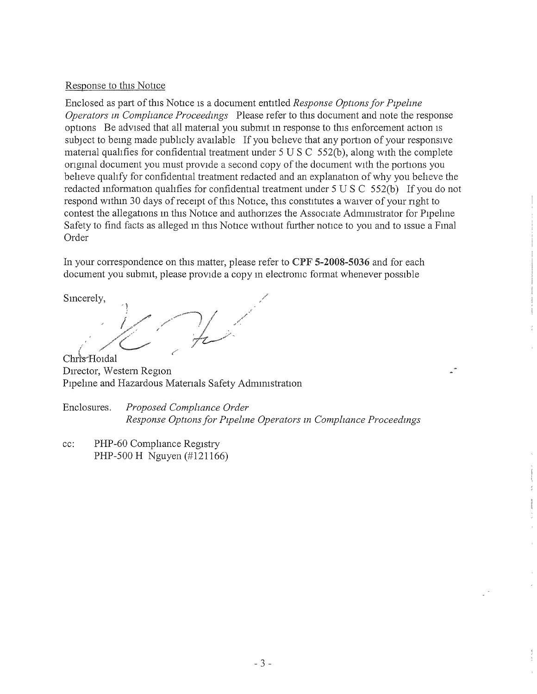#### Response to this Notice

Enclosed as part of this Notice is a document entitled Response Options for Pipeline Operators in Compliance Proceedings Please refer to this document and note the response options Be advised that all material you submit in response to this enforcement action is subject to being made publicly available If you believe that any portion of your responsive material qualifies for confidential treatment under  $5 \text{ U } S \text{ C } 552(b)$ , along with the complete original document you must provide a second copy of the document with the portions you beheve quahfy for confidential treatment redacted and an explanation of why you beheve the redacted information qualifies for confidential treatment under 5 U S C 552(b) If you do not respond within 30 days of receipt of this Notice, this constitutes a waiver of your right to contest the allegations in this Notice and authorizes the Associate Administrator for Pipeline Safety to find facts as alleged in this Notice without further notice to you and to issue a Final Order

In your correspondence on this matter, please refer to CPF 5-2008-5036 and for each document you submit, please provide a copy in electronic format whenever possible

Sincerely,

Chris-Hoidal Director, Western Region Pipeline and Hazardous Materials Safety Admmistration

Enclosures. Proposed Compliance Order Response Options for Pipeline Operators in Compliance Proceedings

cc: PHP-60 Comphance Registry PHP-500 H Nguyen (#121166)